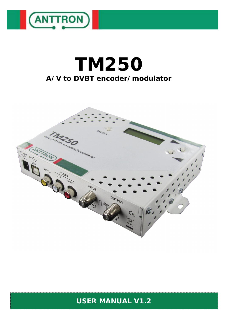

# **TM250 A/V to DVBT encoder/modulator**



# **USER MANUAL V1.2**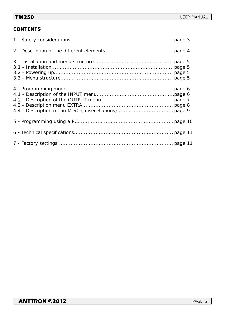# **CONTENTS**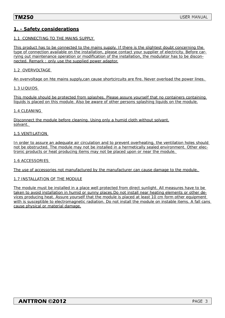#### **1. - Safety considerations**

#### 1.1 CONNECTING TO THE MAINS SUPPLY

This product has to be connected to the mains supply. If there is the slightest doubt concerning the type of connection available on the installation, please contact your supplier of electricity. Before carrying out maintenance operation or modification of the installation, the modulator has to be disconnected. Remark : only use the supplied power adaptor.

#### 1.2 OVERVOLTAGE

An overvoltage on hte mains supply, can cause shortcircuits are fire. Never overload the power lines.

1.3 LIQUIDS

This module should be protected from splashes. Please assure yourself that no containers containing liquids is placed on this module. Also be aware of other persons splashing liquids on the module.

#### 1.4 CLEANING

Disconnect the module before cleaning. Using only a humid cloth without solvant. solvant.

#### 1.5 VENTILATION

In order to assure an adequate air circulation and to prevent overheating, the ventilation holes should not be obstructed. The module may not be installed in a hermetically sealed environment. Other electronic products or heat producing items may not be placed upon or near the module.

#### 1.6 ACCESSORIES

The use of accessories not manufactured by the manufacturer can cause damage to the module.

#### 1.7 INSTALLATION OF THE MODULE

The module must be installed in a place well protected from direct sunlight. All measures have to be taken to avoid installation in humid or sunny places.Do not install near heating elements or other devices producing heat. Assure yourself that the module is placed at least 10 cm form other equipment with is susceptible to electromagnetic radiation. Do not install the module on instable items. A fall cans cause physical or material damage.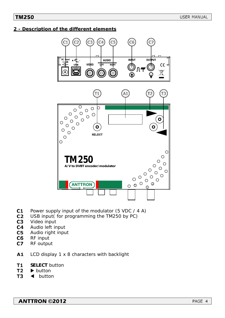# **2 - Description of the different elements**



- Power supply input of the modulator (5 VDC / 4 A)  $C1$
- $C<sub>2</sub>$ USB input( for programming the TM250 by PC)
- $C3$ Video input
- $C4$ Audio left input
- $C<sub>5</sub>$ Audio right input
- $C6$ RF input
- $CZ$ RF output
- $A1$ LCD display 1 x 8 characters with backlight
- $T1$ **SELECT** button
- $T<sub>2</sub>$  $\blacktriangleright$  button
- **T3 ←** button

**ANTTRON ©2012**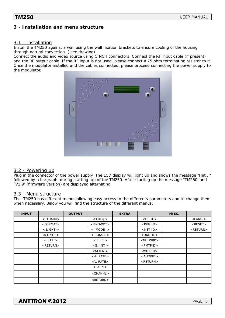#### **3 - Installation and menu structure**

#### 3.1 - Installation

Install the TM250 against a wall using the wall fixation brackets to ensure cooling of the housing through natural convection. ( see drawing)

Connect the audio and video source using CINCH connectors. Connect the RF input cable (if present) and the RF output cable. If the RF input is not used, please connect a 75 ohm terminating resistor to it. Once the modulator installed and the cables connected, please proceed connecting the power supply to the modulator.



#### 3.2 - Powering up

Plug in the connector of the power supply. The LCD display will light up and shows the message "Init..." followed by a bargraph, during starting up of the TM250. After starting up the message "TM250' and "V1.9' (firmware version) are displayed alternating.

#### 3.3 - Menu structure

The TM250 has different menus allowing easy access to the differents parameters and to change them when necessary. Below you will find the structure of the different menus.

| <b>INPUT</b> |                | <b>OUTPUT</b> |                 | <b>EXTRA</b> |                | MISC. |                |
|--------------|----------------|---------------|-----------------|--------------|----------------|-------|----------------|
|              | $<$ STDARD $>$ |               | $<$ FREQ $>$    |              | $<$ TS. ID $>$ |       | $<$ LANG. $>$  |
|              | $<$ FORMAT $>$ |               | $<$ BNDWDT $>$  |              | $<$ PRG.ID $>$ |       | $<$ RESET $>$  |
|              | $<$ LIGHT $>$  |               | $<$ MODE $>$    |              | $<$ NET ID $>$ |       | $<$ RETURN $>$ |
|              | $<$ CONTR. $>$ |               | $<$ CONST. $>$  |              | $<$ ONETID $>$ |       |                |
|              | $<$ SAT. $>$   |               | $<$ FEC $>$     |              | $<$ NETWRK $>$ |       |                |
|              | $<$ RETURN $>$ |               | $<$ G. INT. $>$ |              | $<$ PMTPID $>$ |       |                |
|              |                |               | $<$ ATTEN. $>$  |              | $<$ VIDPID $>$ |       |                |
|              |                |               | $<$ A. RATE $>$ |              | $<$ AUDPID $>$ |       |                |
|              |                |               | $<$ V. RATE $>$ |              | $<$ RETURN $>$ |       |                |
|              |                |               | $<$ L.C.N. $>$  |              |                |       |                |
|              |                |               | $<$ CHANNL $>$  |              |                |       |                |
|              |                |               | $<$ RETURN $>$  |              |                |       |                |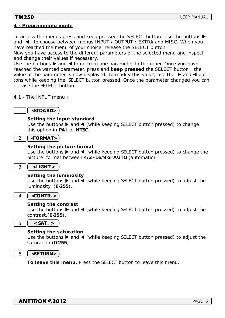#### **4 - Programming mode**

To access the menus press and keep pressed the SELECT button. Use the buttons  $\blacktriangleright$ and  $\blacktriangleleft$  to choose between menus INPUT / OUTPUT / EXTRA and MISC. When you have reached the menu of your choice, release the SELECT button.

Now you have access to the different parameters of the selected menu and inspect and change their values if necessary.

Use the buttions  $\blacktriangleright$  and  $\blacktriangleleft$  to go from one parameter to the other. Once you have reached the wanted parameter, press and **keep pressed** the SELECT button : the value of the parameter is now displayed. To modify this value, use the  $\blacktriangleright$  and  $\blacktriangleleft$  buttons while keeping the SELECT button pressed. Once the parameter changed you can release the SELECT button.

#### 4.1 - The INPUT menu :



#### **Setting the input standard**

Use the buttons  $\blacktriangleright$  and  $\blacktriangleleft$  (while keeping SELECT button pressed) to change this option in **PAL** or **NTSC**.

#### 2 **<FORMAT>**

#### **Setting the picture format**

Use the buttons  $\blacktriangleright$  and  $\blacktriangleleft$  (while keeping SELECT button pressed) to change the picture format between **4/3 - 16/9 or AUTO** (automatic).

3 **< LIGHT >**

#### **Setting the luminosity**

Use the buttons  $\blacktriangleright$  and  $\blacktriangleleft$  (while keeping SELECT button pressed) to adjust the luminosity. (**0-255**).

4 **<CONTR. >**

#### **Setting the contrast**

Use the buttons  $\blacktriangleright$  and  $\blacktriangleleft$  (while keeping SELECT button pressed) to adjust the contrast.(**0-255**).



#### **Setting the saturation**

Use the buttons  $\blacktriangleright$  and  $\blacktriangleleft$  (while keeping SELECT button pressed) to adjust the saturation.(**0-255**).

6 **<RETURN>**

**To leave this menu.** Press the SELECT button to leave this menu.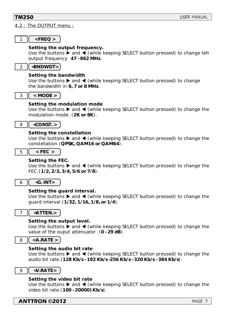4.2 - The OUTPUT menu :

# 1 **< FREQ >**

#### **Setting the output frequency.**

Use the buttons  $\blacktriangleright$  and  $\blacktriangleleft$  (while keeping SELECT button pressed) to change teh output frequency **47 - 862 MHz**.

# 2 **<BNDWDT>**

#### **Setting the bandwidth**

Use the buttons  $\blacktriangleright$  and  $\blacktriangleleft$  (while keeping SELECT button pressed) to change the bandwidth in **6, 7 or 8 MHz**.

# 3 **< MODE >**

#### **Setting the modulation mode**

Use the buttons  $\blacktriangleright$  and  $\blacktriangleleft$  (while keeping SELECT button pressed) to change the modulation mode. (**2K or 8K**).



#### **Setting the constellation**

Use the buttons  $\blacktriangleright$  and  $\blacktriangleleft$  (while keeping SELECT button pressed) to change the constellation.(**QPSK, QAM16 or QAM64**).

#### 5 **< FEC >**

#### **Setting the FEC.**

Use the buttons  $\blacktriangleright$  and  $\blacktriangleleft$  (while keeping SELECT button pressed) to change the FEC.(**1/2, 2/3, 3/4, 5/6 or 7/8**).

# **<G. INT>**

6

#### **Setting the guard interval.**

Use the buttons  $\blacktriangleright$  and  $\blacktriangleleft$  (while keeping SELECT button pressed) to change the guard interval (**1/32, 1/16, 1/8, or 1/4**).

#### 7 **<ATTEN.>**

#### **Setting the output level.**

Use the buttons  $\blacktriangleright$  and  $\blacktriangleleft$  (while keeping SELECT button pressed) to change the value of the ouput attenuator .(**0 - 29 dB**).



#### **Setting the audio bit rate**

Use the buttons  $\blacktriangleright$  and  $\blacktriangleleft$  (while keeping SELECT button pressed) to change the audio bit rate.(**128 Kb/s - 192 Kb/s -256 Kb/s - 320 Kb/s - 384 Kb/s**).

#### 9 **<V.RATE>**

#### **Setting the video bit rate**

Use the buttons  $\blacktriangleright$  and  $\blacktriangleleft$  (while keeping SELECT button pressed) to change the video bit rate.(**100 - 20000) Kb/s**).

# **ANTTRON ©2012**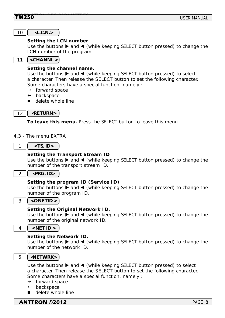10 $\parallel$ **<L.C.N.>**

# **Setting the LCN number**

Use the buttons  $\blacktriangleright$  and  $\blacktriangleleft$  (while keeping SELECT button pressed) to change the LCN number of the program.

#### 11 **< CHANNL >**

# **Setting the channel name.**

Use the buttons  $\blacktriangleright$  and  $\blacktriangleleft$  (while keeping SELECT button pressed) to select a character. Then release the SELECT button to set the following character. Some characters have a special function, namely :

- $\rightarrow$  forward space
- $\leftarrow$  backspace
- delete whole line

# 12 **<RETURN>**

**To leave this menu.** Press the SELECT button to leave this menu.

#### 4.3 - The menu EXTRA :

1 **< TS. ID>**

# **Setting the Transport Stream ID**

Use the buttons  $\blacktriangleright$  and  $\blacktriangleleft$  (while keeping SELECT button pressed) to change the number of the transport stream ID.

# 2 **<PRG. ID>**

# **Setting the program ID (Service ID)**

Use the buttons  $\blacktriangleright$  and  $\blacktriangleleft$  (while keeping SELECT button pressed) to change the number of the program ID.

# 3 **< ONETID >**

# **Setting the Original Network ID.**

Use the buttons  $\triangleright$  and  $\blacktriangleleft$  (while keeping SELECT button pressed) to change the number of the original network ID.

# 4 **< NET ID >**

#### **Setting the Network ID.**

Use the buttons  $\blacktriangleright$  and  $\blacktriangleleft$  (while keeping SELECT button pressed) to change the number of the network ID.

#### 5 **<NETWRK>**

Use the buttons  $\blacktriangleright$  and  $\blacktriangleleft$  (while keeping SELECT button pressed) to select a character. Then release the SELECT button to set the following character. Some characters have a special function, namely :

- $\rightarrow$  forward space
- $\leftarrow$  backspace
- delete whole line

# **ANTTRON ©2012**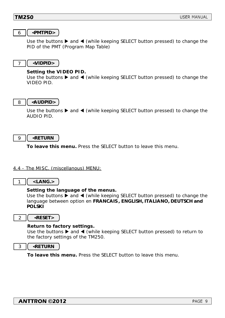#### 6 **<PMTPID>**

Use the buttons  $\blacktriangleright$  and  $\blacktriangleleft$  (while keeping SELECT button pressed) to change the PID of the PMT (Program Map Table)



#### **Setting the VIDEO PID.**

Use the buttons  $\blacktriangleright$  and  $\blacktriangleleft$  (while keeping SELECT button pressed) to change the VIDEO PID.

8 **<AUDPID>**

Use the buttons  $\blacktriangleright$  and  $\blacktriangleleft$  (while keeping SELECT button pressed) to change the AUDIO PID.

9 **<RETURN**

**To leave this menu.** Press the SELECT button to leave this menu.

#### 4.4 - The MISC. (miscellanous) MENU:

1 **< LANG.>**

#### **Setting the language of the menus.**

Use the buttons  $\blacktriangleright$  and  $\blacktriangleleft$  (while keeping SELECT button pressed) to change the language between option en **FRANCAIS , ENGLISH, ITALIANO, DEUTSCH and POLSKI**

#### 2 **<RESET>**

#### **Return to factory settings.**

Use the buttons  $\blacktriangleright$  and  $\blacktriangleleft$  (while keeping SELECT button pressed) to return to the factory settings of the TM250.

3 **<RETURN**

**To leave this menu.** Press the SELECT button to leave this menu.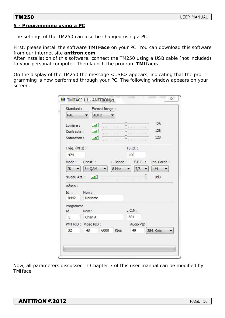#### **5 - Programming using a PC**

The settings of the TM250 can also be changed using a PC.

First, please install the software **TMIFace** on your PC. You can download this software from our internet site **anttron.com**

After installation of this software, connect the TM250 using a USB cable (not included) to your personal computer. Then launch the program **TMIface.**

On the display of the TM250 the message <USB> appears, indicating that the programming is now performed through your PC. The following window appears on your screen.

| Standard:<br>PAL      |            | Format Image:<br><b>AUTO</b> |                                         |            |            |  |             |  |
|-----------------------|------------|------------------------------|-----------------------------------------|------------|------------|--|-------------|--|
| Lumière :             |            |                              | <b>WERE ARRESTED FOR A SERVICE OF A</b> |            |            |  | 128         |  |
| Contraste:            | $\sqrt{2}$ |                              |                                         |            |            |  | 128         |  |
| Saturation:           |            |                              | <b>CONTRACTOR</b> AND INTERFERED        |            |            |  | 128         |  |
| Fréq. (MHz) :         |            |                              |                                         | TSId.:     |            |  |             |  |
| 474                   |            |                              |                                         | 100        |            |  |             |  |
| Mode:                 | Const. :   |                              | L. Bande:                               |            | $F.E.C.$ : |  | Int. Garde: |  |
| 2K                    | 64-QAM     |                              | 8 Mhz                                   |            | 7/8        |  | 1/4         |  |
| Réseau<br>$Id.$ :     | Nom:       |                              |                                         | W.         |            |  |             |  |
| 8442                  | NoName     |                              |                                         |            |            |  |             |  |
| Programme             |            |                              |                                         |            |            |  |             |  |
| $Id.$ :               | Nom:       |                              |                                         | L.C.N:     |            |  |             |  |
| T.                    | Chan A     |                              |                                         | 801        |            |  |             |  |
| PMT PID : Vidéo PID : |            |                              |                                         | Audio PID: |            |  |             |  |
| 32 <sub>2</sub>       | 48         | 6000                         | Kb/s                                    |            | 49         |  | 384 Kb/s    |  |
|                       |            |                              |                                         |            |            |  |             |  |
|                       |            |                              |                                         |            |            |  |             |  |

Now, all parameters discussed in Chapter 3 of this user manual can be modified by TMIface.